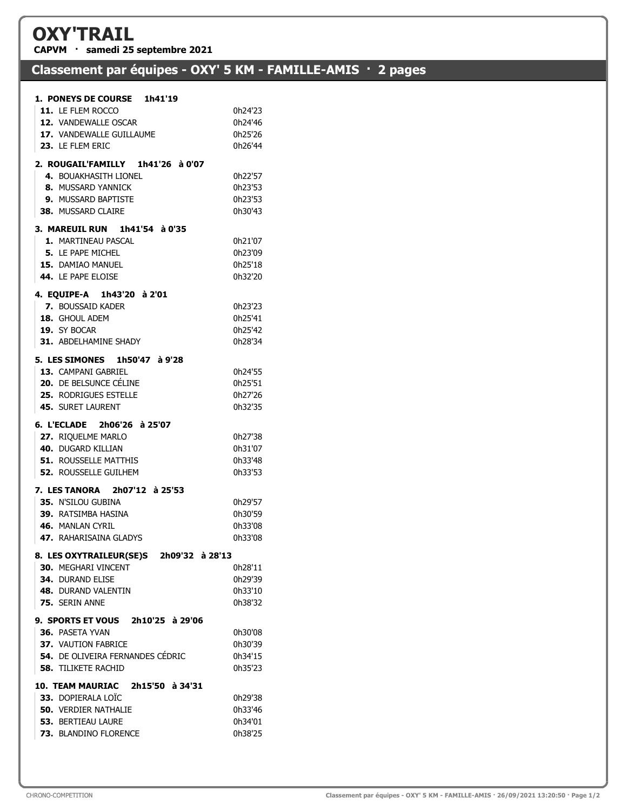## OXY'TRAIL

CAPVM · samedi 25 septembre 2021

## Classement par équipes - OXY' 5 KM - FAMILLE-AMIS · 2 pages

| 11. LE FLEM ROCCO                           | 0h24'23            |
|---------------------------------------------|--------------------|
| 12. VANDEWALLE OSCAR                        | 0h24'46            |
| 17. VANDEWALLE GUILLAUME                    | 0h25'26            |
| 23. LE FLEM ERIC                            | 0h26'44            |
| 2. ROUGAIL'FAMILLY 1h41'26 à 0'07           |                    |
| 4. BOUAKHASITH LIONEL                       | 0h22'57            |
| 8. MUSSARD YANNICK                          | 0h23'53            |
| <b>9. MUSSARD BAPTISTE</b>                  | 0h23'53            |
| <b>38. MUSSARD CLAIRE</b>                   | 0h30'43            |
|                                             |                    |
| 3. MAREUIL RUN 1h41'54 à 0'35               |                    |
| 1. MARTINEAU PASCAL                         | 0h21'07            |
| <b>5. LE PAPE MICHEL</b>                    | 0h23'09            |
| 15. DAMIAO MANUEL                           | 0h25'18            |
| 44. LE PAPE ELOISE                          | 0h32'20            |
| 4. EQUIPE-A 1h43'20 à 2'01                  |                    |
| <b>7. BOUSSAID KADER</b>                    | 0h23'23            |
| 18. GHOUL ADEM                              | 0h25'41            |
| 19. SY BOCAR                                | 0h25'42            |
| <b>31. ABDELHAMINE SHADY</b>                | 0h28'34            |
| 5. LES SIMONES 1h50'47 à 9'28               |                    |
| 13. CAMPANI GABRIEL                         | 0h24'55            |
| <b>20.</b> DE BELSUNCE CÉLINE               | 0h25'51            |
| <b>25. RODRIGUES ESTELLE</b>                | 0h27'26            |
| <b>45. SURET LAURENT</b>                    | 0h32'35            |
|                                             |                    |
| 6. L'ECLADE 2h06'26 à 25'07                 | 0h27'38            |
|                                             |                    |
| 27. RIQUELME MARLO                          |                    |
| 40. DUGARD KILLIAN                          | 0h31'07            |
| <b>51. ROUSSELLE MATTHIS</b>                | 0h33'48            |
| <b>52. ROUSSELLE GUILHEM</b>                | 0h33'53            |
| 7. LES TANORA 2h07'12 à 25'53               |                    |
| 35. N'SILOU GUBINA                          | 0h29'57            |
| 39. RATSIMBA HASINA                         | 0h30'59            |
| 46. MANLAN CYRIL                            | 0h33'08            |
| 47. RAHARISAINA GLADYS                      | 0h33'08            |
| 8. LES OXYTRAILEUR(SE)S 2h09'32 à 28'13     |                    |
| <b>30. MEGHARI VINCENT</b>                  | 0h28'11            |
| <b>34. DURAND ELISE</b>                     | 0h29'39            |
| 48. DURAND VALENTIN                         | 0h33'10            |
| 75. SERIN ANNE                              | 0h38'32            |
| 9. SPORTS ET VOUS 2h10'25 à 29'06           |                    |
| 36. PASETA YVAN                             | 0h30'08            |
| <b>37. VAUTION FABRICE</b>                  | 0h30'39            |
| 54. DE OLIVEIRA FERNANDES CÉDRIC            | 0h34'15            |
| <b>58. TILIKETE RACHID</b>                  | 0h35'23            |
|                                             |                    |
| 10. TEAM MAURIAC 2h15'50 à 34'31            |                    |
| 33. DOPIERALA LOÏC                          | 0h29'38            |
| <b>50. VERDIER NATHALIE</b>                 | 0h33'46            |
| 53. BERTIEAU LAURE<br>73. BLANDINO FLORENCE | 0h34'01<br>0h38'25 |